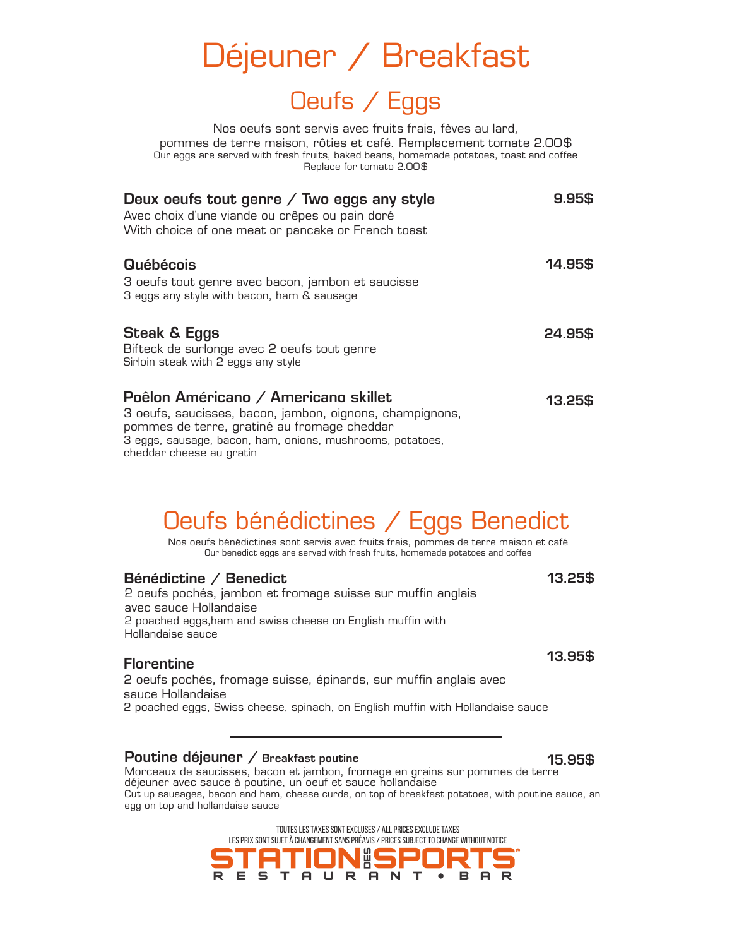| Déjeuner / Breakfast |  |  |
|----------------------|--|--|
|----------------------|--|--|

### Oeufs / Eggs

Nos oeufs sont servis avec fruits frais, fèves au lard, pommes de terre maison, rôties et café. Remplacement tomate 2.00\$ Our eggs are served with fresh fruits, baked beans, homemade potatoes, toast and coffee Replace for tomato 2.00\$

| Deux oeufs tout genre $\diagup$ Two eggs any style<br>Avec choix d'une viande ou crêpes ou pain doré<br>With choice of one meat or pancake or French toast                                                   | 9.95\$  |
|--------------------------------------------------------------------------------------------------------------------------------------------------------------------------------------------------------------|---------|
| <b>Québécois</b><br>3 oeufs tout genre avec bacon, jambon et saucisse<br>3 eggs any style with bacon, ham & sausage                                                                                          | 14.95\$ |
| <b>Steak &amp; Eggs</b><br>Bifteck de surlonge avec 2 oeufs tout genre<br>Sirloin steak with 2 eggs any style                                                                                                | 24.95\$ |
| Poêlon Américano / Americano skillet<br>3 oeufs, saucisses, bacon, jambon, oignons, champignons,<br>pommes de terre, gratiné au fromage cheddar<br>3 eggs, sausage, bacon, ham, onions, mushrooms, potatoes, | 13.25\$ |

cheddar cheese au gratin

# Oeufs bénédictines / Eggs Benedict

Nos oeufs bénédictines sont servis avec fruits frais, pommes de terre maison et café Our benedict eggs are served with fresh fruits, homemade potatoes and coffee

| Bénédictine / Benedict                                      | 13.25\$ |
|-------------------------------------------------------------|---------|
| 2 oeufs pochés, jambon et fromage suisse sur muffin anglais |         |
| avec sauce Hollandaise                                      |         |
| 2 poached eggs, ham and swiss cheese on English muffin with |         |
| Hollandaise sauce                                           |         |
|                                                             | 13.95\$ |

#### **Florentine**

2 oeufs pochés, fromage suisse, épinards, sur muffin anglais avec sauce Hollandaise

2 poached eggs, Swiss cheese, spinach, on English muffin with Hollandaise sauce

#### Poutine déjeuner / Breakfast poutine

Morceaux de saucisses, bacon et jambon, fromage en grains sur pommes de terre déjeuner avec sauce à poutine, un oeuf et sauce hollandaise Cut up sausages, bacon and ham, chesse curds, on top of breakfast potatoes, with poutine sauce, an egg on top and hollandaise sauce